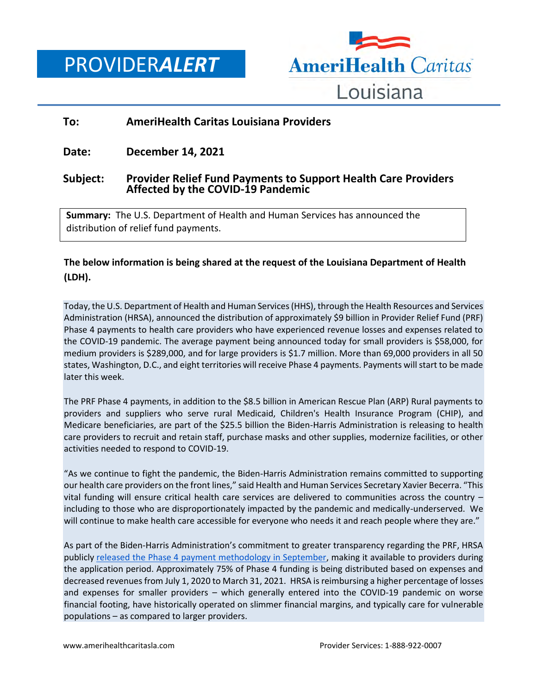PROVIDER*ALERT*



## **To: AmeriHealth Caritas Louisiana Providers**

**Date: December 14, 2021**

## **Subject: Provider Relief Fund Payments to Support Health Care Providers Affected by the COVID-19 Pandemic**

**Summary:** The U.S. Department of Health and Human Services has announced the distribution of relief fund payments.

## **The below information is being shared at the request of the Louisiana Department of Health (LDH).**

Today, the U.S. Department of Health and Human Services (HHS), through the Health Resources and Services Administration (HRSA), announced the distribution of approximately \$9 billion in Provider Relief Fund (PRF) Phase 4 payments to health care providers who have experienced revenue losses and expenses related to the COVID-19 pandemic. The average payment being announced today for small providers is \$58,000, for medium providers is \$289,000, and for large providers is \$1.7 million. More than 69,000 providers in all 50 states, Washington, D.C., and eight territories will receive Phase 4 payments. Payments will start to be made later this week.

The PRF Phase 4 payments, in addition to the \$8.5 billion in American Rescue Plan (ARP) Rural payments to providers and suppliers who serve rural Medicaid, Children's Health Insurance Program (CHIP), and Medicare beneficiaries, are part of the \$25.5 billion the Biden-Harris Administration is releasing to health care providers to recruit and retain staff, purchase masks and other supplies, modernize facilities, or other activities needed to respond to COVID-19.

"As we continue to fight the pandemic, the Biden-Harris Administration remains committed to supporting our health care providers on the front lines," said Health and Human Services Secretary Xavier Becerra. "This vital funding will ensure critical health care services are delivered to communities across the country – including to those who are disproportionately impacted by the pandemic and medically-underserved. We will continue to make health care accessible for everyone who needs it and reach people where they are."

As part of the Biden-Harris Administration's commitment to greater transparency regarding the PRF, HRSA publicly [released the Phase 4 payment methodology in September,](https://www.hrsa.gov/provider-relief/future-payments/phase-4-arp-rural/payment-methodology) making it available to providers during the application period. Approximately 75% of Phase 4 funding is being distributed based on expenses and decreased revenues from July 1, 2020 to March 31, 2021. HRSA is reimbursing a higher percentage of losses and expenses for smaller providers – which generally entered into the COVID-19 pandemic on worse financial footing, have historically operated on slimmer financial margins, and typically care for vulnerable populations – as compared to larger providers.